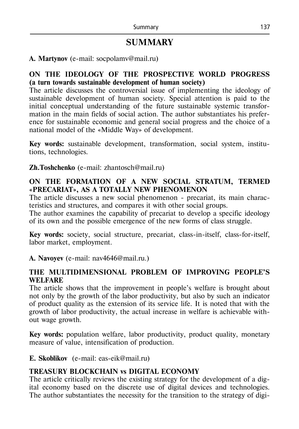# **SUMMARY**

### **А. Martynov** (e-mail: socpolamv@mail.ru)

### **ON THE IDEOLOGY OF THE PROSPECTIVE WORLD PROGRESS (a turn towards sustainable development of human society)**

The article discusses the controversial issue of implementing the ideology of sustainable development of human society. Special attention is paid to the initial conceptual understanding of the future sustainable systemic transformation in the main fields of social action. The author substantiates his preference for sustainable economic and general social progress and the choice of a national model of the «Middle Way» of development.

**Key words:** sustainable development, transformation, social system, institutions, technologies.

**Zh.Toshchenko** (e-mail: zhantosch@mail.ru)

### **ON THE FORMATION OF A NEW SOCIAL STRATUM, TERMED «PRECARIAT», AS A TOTALLY NEW PHENOMENON**

The article discusses a new social phenomenon - precariat, its main characteristics and structures, and compares it with other social groups.

The author examines the capability of precariat to develop a specific ideology of its own and the possible emergence of the new forms of class struggle.

**Key words:** society, social structure, precariat, class-in-itself, class-for-itself, labor market, employment.

**А. Navoyev** (е-mail: nav4646@mail.ru.)

### **THE MULTIDIMENSIONAL PROBLEM OF IMPROVING PEOPLE'S WELFARE**

The article shows that the improvement in people's welfare is brought about not only by the growth of the labor productivity, but also by such an indicator of product quality as the extension of its service life. It is noted that with the growth of labor productivity, the actual increase in welfare is achievable without wage growth.

**Key words:** population welfare, labor productivity, product quality, monetary measure of value, intensification of production.

**Е. Skoblikov** (e-mail: eas-eik@mail.ru)

# **TREASURY BLOCKCHAIN vs DIGITAL ECONOMY**

The article critically reviews the existing strategy for the development of a digital economy based on the discrete use of digital devices and technologies. The author substantiates the necessity for the transition to the strategy of digi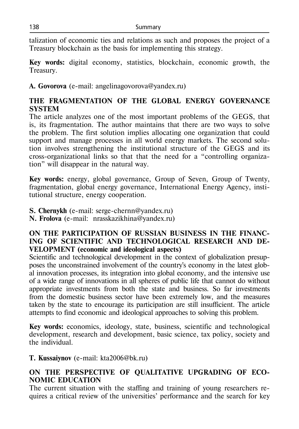talization of economic ties and relations as such and proposes the project of a Treasury blockchain as the basis for implementing this strategy.

**Key words:** digital economy, statistics, blockchain, economic growth, the Treasury.

**А. Govorova** (e-mail: angelinagovorova@yandex.ru)

# **THE FRAGMENTATION OF THE GLOBAL ENERGY GOVERNANCE SYSTEM**

The article analyzes one of the most important problems of the GEGS, that is, its fragmentation. The author maintains that there are two ways to solve the problem. The first solution implies allocating one organization that could support and manage processes in all world energy markets. The second solution involves strengthening the institutional structure of the GEGS and its cross-organizational links so that that the need for a "controlling organization" will disappear in the natural way.

**Key words:** energy, global governance, Group of Seven, Group of Twenty, fragmentation, global energy governance, International Energy Agency, institutional structure, energy cooperation.

**S. Chernykh** (e-mail: serge-chernn@yandex.ru)

**N. Frolova** (e-mail: nrasskazikhina@yandex.ru)

### **ON THE PARTICIPATION OF RUSSIAN BUSINESS IN THE FINANC-ING OF SCIENTIFIC AND TECHNOLOGICAL RESEARCH AND DE-VELOPMENT (economic and ideological aspects)**

Scientific and technological development in the context of globalization presupposes the unconstrained involvement of the country's economy in the latest global innovation processes, its integration into global economy, and the intensive use of a wide range of innovations in all spheres of public life that cannot do without appropriate investments from both the state and business. So far investments from the domestic business sector have been extremely low, and the measures taken by the state to encourage its participation are still insufficient. The article attempts to find economic and ideological approaches to solving this problem.

**Key words:** economics, ideology, state, business, scientific and technological development, research and development, basic science, tax policy, society and the individual.

**T. Kussaiynov** (е-mail: kta2006@bk.ru)

## **ON THE PERSPECTIVE OF QUALITATIVE UPGRADING OF ECO-NOMIC EDUCATION**

The current situation with the staffing and training of young researchers requires a critical review of the universities' performance and the search for key